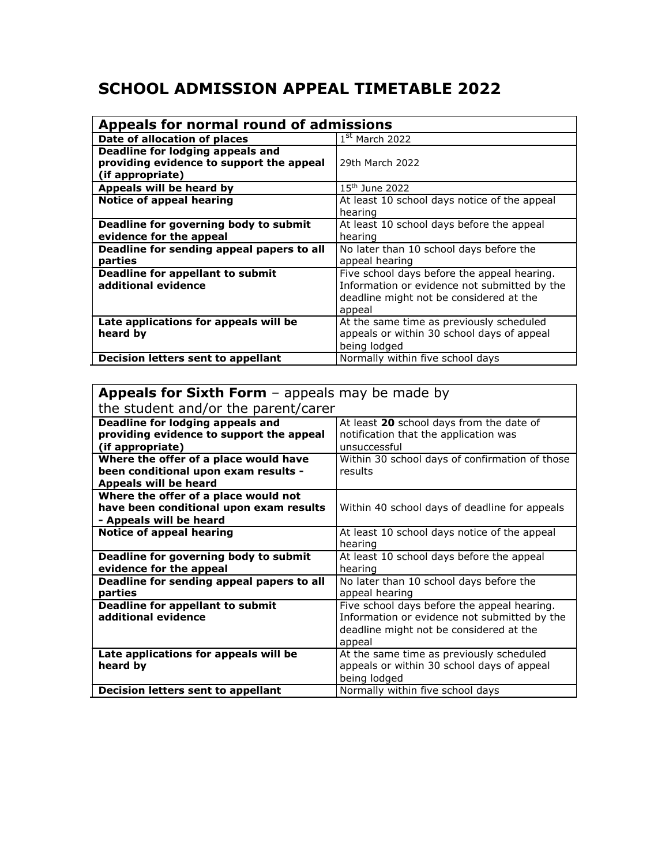## **SCHOOL ADMISSION APPEAL TIMETABLE 2022**

| Appeals for normal round of admissions                           |                                                                                                                                                  |
|------------------------------------------------------------------|--------------------------------------------------------------------------------------------------------------------------------------------------|
| Date of allocation of places                                     | $1st$ March 2022                                                                                                                                 |
| <b>Deadline for lodging appeals and</b>                          |                                                                                                                                                  |
| providing evidence to support the appeal<br>(if appropriate)     | 29th March 2022                                                                                                                                  |
| Appeals will be heard by                                         | $15th$ June 2022                                                                                                                                 |
| <b>Notice of appeal hearing</b>                                  | At least 10 school days notice of the appeal<br>hearing                                                                                          |
| Deadline for governing body to submit<br>evidence for the appeal | At least 10 school days before the appeal<br>hearing                                                                                             |
| Deadline for sending appeal papers to all<br>parties             | No later than 10 school days before the<br>appeal hearing                                                                                        |
| <b>Deadline for appellant to submit</b><br>additional evidence   | Five school days before the appeal hearing.<br>Information or evidence not submitted by the<br>deadline might not be considered at the<br>appeal |
| Late applications for appeals will be<br>heard by                | At the same time as previously scheduled<br>appeals or within 30 school days of appeal<br>being lodged                                           |
| Decision letters sent to appellant                               | Normally within five school days                                                                                                                 |

## **Appeals for Sixth Form** - appeals may be made by

| the student and/or the parent/carer       |                                                |
|-------------------------------------------|------------------------------------------------|
| Deadline for lodging appeals and          | At least 20 school days from the date of       |
| providing evidence to support the appeal  | notification that the application was          |
| (if appropriate)                          | unsuccessful                                   |
| Where the offer of a place would have     | Within 30 school days of confirmation of those |
| been conditional upon exam results -      | results                                        |
| Appeals will be heard                     |                                                |
| Where the offer of a place would not      |                                                |
| have been conditional upon exam results   | Within 40 school days of deadline for appeals  |
| - Appeals will be heard                   |                                                |
| <b>Notice of appeal hearing</b>           | At least 10 school days notice of the appeal   |
|                                           | hearing                                        |
| Deadline for governing body to submit     | At least 10 school days before the appeal      |
| evidence for the appeal                   | hearing                                        |
| Deadline for sending appeal papers to all | No later than 10 school days before the        |
| parties                                   | appeal hearing                                 |
| Deadline for appellant to submit          | Five school days before the appeal hearing.    |
| additional evidence                       | Information or evidence not submitted by the   |
|                                           | deadline might not be considered at the        |
|                                           | appeal                                         |
| Late applications for appeals will be     | At the same time as previously scheduled       |
| heard by                                  | appeals or within 30 school days of appeal     |
|                                           | being lodged                                   |
| Decision letters sent to appellant        | Normally within five school days               |